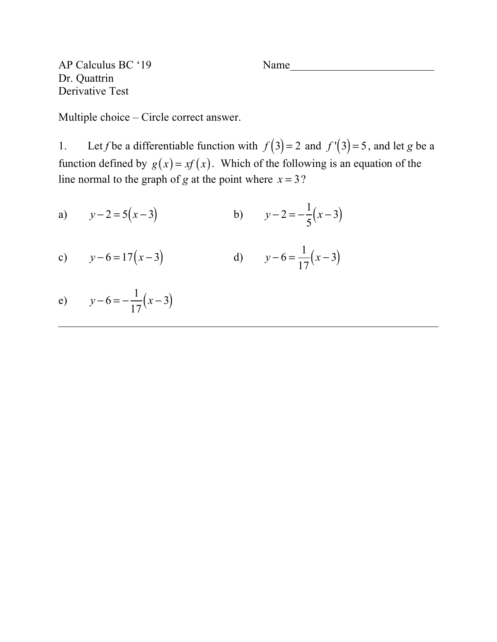AP Calculus BC '19 Name Dr. Quattrin Derivative Test

Multiple choice – Circle correct answer.

1. Let *f* be a differentiable function with  $f(3) = 2$  and  $f'(3) = 5$ , and let *g* be a function defined by  $g(x) = xf(x)$ . Which of the following is an equation of the line normal to the graph of *g* at the point where  $x = 3$ ?

a) 
$$
y-2=5(x-3)
$$
 b)  $y-2=-\frac{1}{5}(x-3)$ 

c) 
$$
y-6=17(x-3)
$$
 d)  $y-6=\frac{1}{17}(x-3)$ 

e) 
$$
y-6=-\frac{1}{17}(x-3)
$$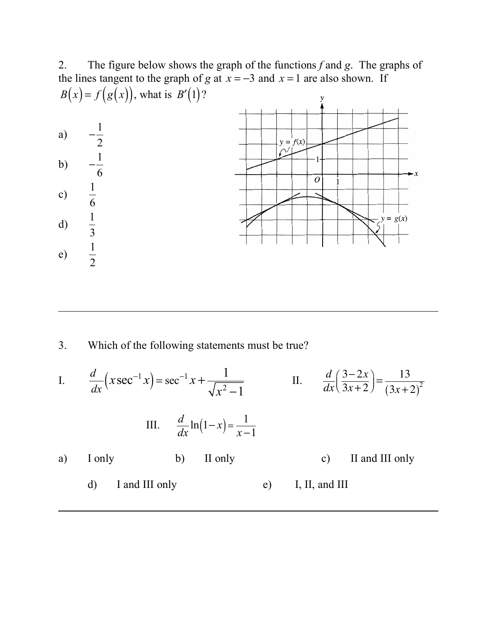2. The figure below shows the graph of the functions *f* and *g*. The graphs of the lines tangent to the graph of *g* at  $x = -3$  and  $x = 1$  are also shown. If  $B(x) = f(g(x))$ , what is  $B'(1)$ ?  $\mathbf{y}$  $-\frac{1}{2}$ a)  $y = f(x)$ 2  $-\frac{1}{6}$ b) 6  $\overline{o}$ 1 c) 6 1  $y = g(x)$ d) 3 1 e) 2

3. Which of the following statements must be true?

I. 
$$
\frac{d}{dx}(x\sec^{-1}x) = \sec^{-1}x + \frac{1}{\sqrt{x^2 - 1}}
$$
 II. 
$$
\frac{d}{dx}(\frac{3 - 2x}{3x + 2}) = \frac{13}{(3x + 2)^2}
$$
  
III. 
$$
\frac{d}{dx}\ln(1 - x) = \frac{1}{x - 1}
$$
  
a) I only b) II only c) II and III only d) I and III only e) I, II, and III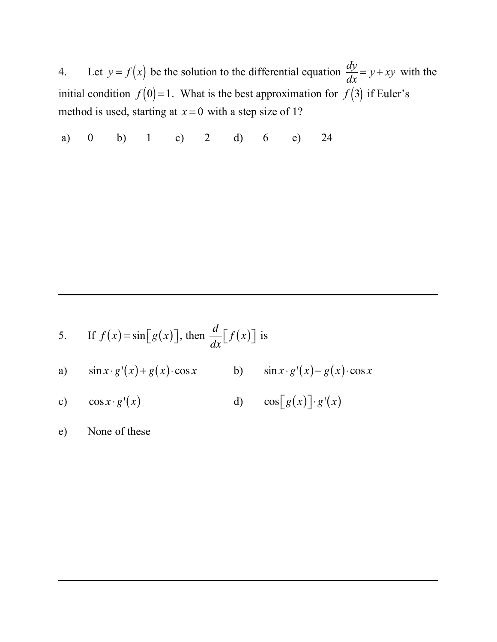4. Let  $y = f(x)$  be the solution to the differential equation  $\frac{dy}{dx} = y + xy$  with the initial condition  $f(0)=1$ . What is the best approximation for  $f(3)$  if Euler's method is used, starting at  $x = 0$  with a step size of 1?

a) 0 b) 1 c) 2 d) 6 e) 24

5. If 
$$
f(x) = \sin[g(x)]
$$
, then  $\frac{d}{dx}[f(x)]$  is  
\na)  $\sin x \cdot g'(x) + g(x) \cdot \cos x$  b)  $\sin x \cdot g'(x) - g(x) \cdot \cos x$   
\nc)  $\cos x \cdot g'(x)$  d)  $\cos[g(x)] \cdot g'(x)$ 

e) None of these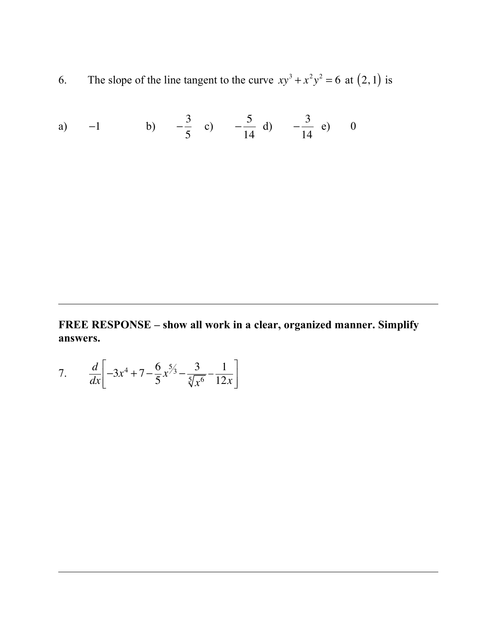6. The slope of the line tangent to the curve  $xy^3 + x^2y^2 = 6$  at  $(2, 1)$  is

a) -1 b) 
$$
-\frac{3}{5}
$$
 c)  $-\frac{5}{14}$  d)  $-\frac{3}{14}$  e) 0

**FREE RESPONSE – show all work in a clear, organized manner. Simplify answers.**

7. 
$$
\frac{d}{dx}\left[-3x^4 + 7 - \frac{6}{5}x^5 - \frac{3}{5\sqrt{x^6}} - \frac{1}{12x}\right]
$$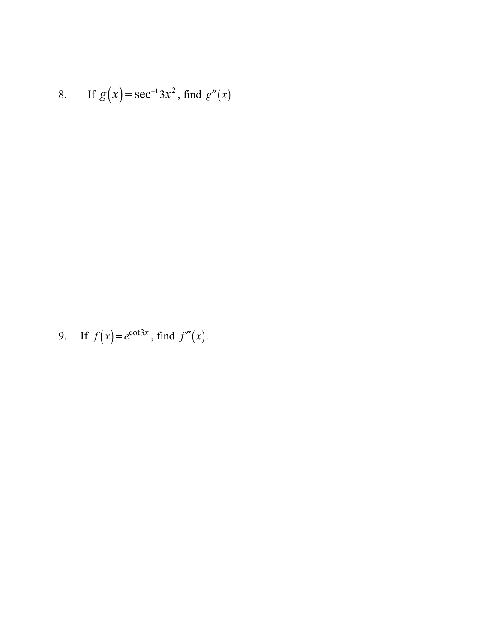8. If 
$$
g(x) = \sec^{-1} 3x^2
$$
, find  $g''(x)$ 

9. If 
$$
f(x) = e^{\cot 3x}
$$
, find  $f''(x)$ .